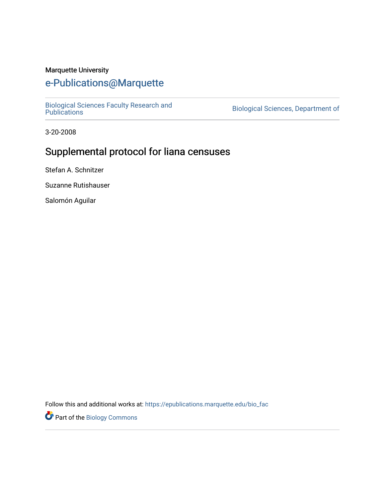#### Marquette University

# [e-Publications@Marquette](https://epublications.marquette.edu/)

[Biological Sciences Faculty Research and](https://epublications.marquette.edu/bio_fac)  [Publications](https://epublications.marquette.edu/bio_fac) [Biological Sciences, Department of](https://epublications.marquette.edu/biology) 

3-20-2008

# Supplemental protocol for liana censuses

Stefan A. Schnitzer

Suzanne Rutishauser

Salomón Aguilar

Follow this and additional works at: [https://epublications.marquette.edu/bio\\_fac](https://epublications.marquette.edu/bio_fac?utm_source=epublications.marquette.edu%2Fbio_fac%2F728&utm_medium=PDF&utm_campaign=PDFCoverPages) 

**Part of the Biology Commons**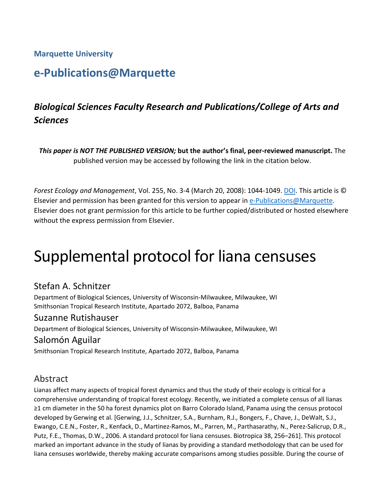## **Marquette University**

# **e-Publications@Marquette**

# *Biological Sciences Faculty Research and Publications/College of Arts and Sciences*

*This paper is NOT THE PUBLISHED VERSION;* **but the author's final, peer-reviewed manuscript.** The published version may be accessed by following the link in the citation below.

*Forest Ecology and Management*, Vol. 255, No. 3-4 (March 20, 2008): 1044-1049. DOI. This article is © Elsevier and permission has been granted for this version to appear in [e-Publications@Marquette.](http://epublications.marquette.edu/) Elsevier does not grant permission for this article to be further copied/distributed or hosted elsewhere without the express permission from Elsevier.

# Supplemental protocol for liana censuses

# Stefan A. Schnitzer

Department of Biological Sciences, University of Wisconsin-Milwaukee, Milwaukee, WI Smithsonian Tropical Research Institute, Apartado 2072, Balboa, Panama

## Suzanne Rutishauser

Department of Biological Sciences, University of Wisconsin-Milwaukee, Milwaukee, WI

## Salomón Aguilar

Smithsonian Tropical Research Institute, Apartado 2072, Balboa, Panama

# Abstract

Lianas affect many aspects of tropical forest dynamics and thus the study of their ecology is critical for a comprehensive understanding of tropical forest ecology. Recently, we initiated a complete census of all lianas ≥1 cm diameter in the 50 ha forest dynamics plot on Barro Colorado Island, Panama using the census protocol developed by Gerwing et al. [Gerwing, J.J., Schnitzer, S.A., Burnham, R.J., Bongers, F., Chave, J., DeWalt, S.J., Ewango, C.E.N., Foster, R., Kenfack, D., Martinez-Ramos, M., Parren, M., Parthasarathy, N., Perez-Salicrup, D.R., Putz, F.E., Thomas, D.W., 2006. A standard protocol for liana censuses. Biotropica 38, 256–261]. This protocol marked an important advance in the study of lianas by providing a standard methodology that can be used for liana censuses worldwide, thereby making accurate comparisons among studies possible. During the course of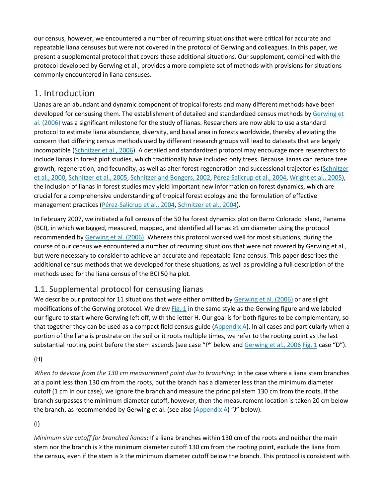our census, however, we encountered a number of recurring situations that were critical for accurate and repeatable liana censuses but were not covered in the protocol of Gerwing and colleagues. In this paper, we present a supplemental protocol that covers these additional situations. Our supplement, combined with the protocol developed by Gerwing et al., provides a more complete set of methods with provisions for situations commonly encountered in liana censuses.

# 1. Introduction

Lianas are an abundant and dynamic component of tropical forests and many different methods have been developed for censusing them. The establishment of detailed and standardized census methods by Gerwing et [al. \(2006\)](https://www.sciencedirect.com/science/article/pii/S0378112707007931#bib3) was a significant milestone for the study of lianas. Researchers are now able to use a standard protocol to estimate liana abundance, diversity, and basal area in forests worldwide, thereby alleviating the concern that differing census methods used by different research groups will lead to datasets that are largely incompatible [\(Schnitzer et al., 2006\)](https://www.sciencedirect.com/science/article/pii/S0378112707007931#bib9). A detailed and standardized protocol may encourage more researchers to include lianas in forest plot studies, which traditionally have included only trees. Because lianas can reduce tree growth, regeneration, and fecundity, as well as alter forest regeneration and successional trajectories (Schnitzer [et al., 2000,](https://www.sciencedirect.com/science/article/pii/S0378112707007931#bib5) [Schnitzer et al., 2005,](https://www.sciencedirect.com/science/article/pii/S0378112707007931#bib8) [Schnitzer and Bongers, 2002,](https://www.sciencedirect.com/science/article/pii/S0378112707007931#bib6) [Pérez-Salicrup et al., 2004,](https://www.sciencedirect.com/science/article/pii/S0378112707007931#bib4) [Wright et al., 2005\)](https://www.sciencedirect.com/science/article/pii/S0378112707007931#bib12), the inclusion of lianas in forest studies may yield important new information on forest dynamics, which are crucial for a comprehensive understanding of tropical forest ecology and the formulation of effective management practices [\(Pérez-Salicrup et al., 2004,](https://www.sciencedirect.com/science/article/pii/S0378112707007931#bib4) [Schnitzer et al., 2004\)](https://www.sciencedirect.com/science/article/pii/S0378112707007931#bib7).

In February 2007, we initiated a full census of the 50 ha forest dynamics plot on Barro Colorado Island, Panama (BCI), in which we tagged, measured, mapped, and identified all lianas ≥1 cm diameter using the protocol recommended by [Gerwing et al. \(2006\).](https://www.sciencedirect.com/science/article/pii/S0378112707007931#bib3) Whereas this protocol worked well for most situations, during the course of our census we encountered a number of recurring situations that were not covered by Gerwing et al., but were necessary to consider to achieve an accurate and repeatable liana census. This paper describes the additional census methods that we developed for these situations, as well as providing a full description of the methods used for the liana census of the BCI 50 ha plot.

# 1.1. Supplemental protocol for censusing lianas

We describe our protocol for 11 situations that were either omitted by [Gerwing et al. \(2006\)](https://www.sciencedirect.com/science/article/pii/S0378112707007931#bib3) or are slight modifications of the Gerwing protocol. We drew [Fig. 1](https://www.sciencedirect.com/science/article/pii/S0378112707007931#fig1) in the same style as the Gerwing figure and we labeled our figure to start where Gerwing left off, with the letter H. Our goal is for both figures to be complementary, so that together they can be used as a compact field census guide [\(Appendix A\)](https://www.sciencedirect.com/science/article/pii/S0378112707007931#app1). In all cases and particularly when a portion of the liana is prostrate on the soil or it roots multiple times, we refer to the rooting point as the last substantial rooting point before the stem ascends (see case "P" below and [Gerwing et al., 2006](https://www.sciencedirect.com/science/article/pii/S0378112707007931#bib3) [Fig. 1](https://www.sciencedirect.com/science/article/pii/S0378112707007931#fig1) case "D").

#### (H)

*When to deviate from the 130 cm measurement point due to branching*: In the case where a liana stem branches at a point less than 130 cm from the roots, but the branch has a diameter less than the minimum diameter cutoff (1 cm in our case), we ignore the branch and measure the principal stem 130 cm from the roots. If the branch surpasses the minimum diameter cutoff, however, then the measurement location is taken 20 cm below the branch, as recommended by Gerwing et al. (see also [\(Appendix A\)](https://www.sciencedirect.com/science/article/pii/S0378112707007931#app1) "J" below).

#### (I)

*Minimum size cutoff for branched lianas*: If a liana branches within 130 cm of the roots and neither the main stem nor the branch is ≥ the minimum diameter cutoff 130 cm from the rooting point, exclude the liana from the census, even if the stem is ≥ the minimum diameter cutoff below the branch. This protocol is consistent with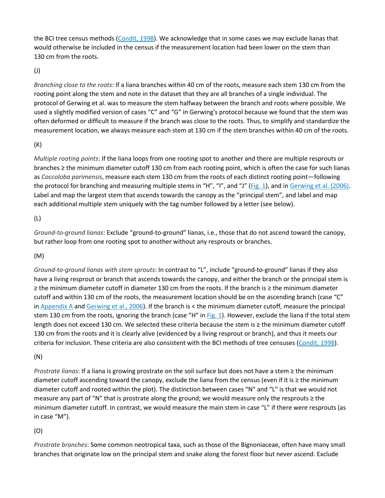the BCI tree census methods [\(Condit, 1998\)](https://www.sciencedirect.com/science/article/pii/S0378112707007931#bib1). We acknowledge that in some cases we may exclude lianas that would otherwise be included in the census if the measurement location had been lower on the stem than 130 cm from the roots.

#### (J)

*Branching close to the roots*: If a liana branches within 40 cm of the roots, measure each stem 130 cm from the rooting point along the stem and note in the dataset that they are all branches of a single individual. The protocol of Gerwing et al. was to measure the stem halfway between the branch and roots where possible. We used a slightly modified version of cases "C" and "G" in Gerwing's protocol because we found that the stem was often deformed or difficult to measure if the branch was close to the roots. Thus, to simplify and standardize the measurement location, we always measure each stem at 130 cm if the stem branches within 40 cm of the roots.

#### (K)

*Multiple rooting points*: If the liana loops from one rooting spot to another and there are multiple resprouts or branches ≥ the minimum diameter cutoff 130 cm from each rooting point, which is often the case for such lianas as *Coccoloba parimensis*, measure each stem 130 cm from the roots of each distinct rooting point—following the protocol for branching and measuring multiple stems in "H", "I", and "J" [\(Fig. 1\)](https://www.sciencedirect.com/science/article/pii/S0378112707007931#fig1), and in [Gerwing et al. \(2006\).](https://www.sciencedirect.com/science/article/pii/S0378112707007931#bib3) Label and map the largest stem that ascends towards the canopy as the "principal stem", and label and map each additional multiple stem uniquely with the tag number followed by a letter (see below).

#### (L)

*Ground-to-ground lianas*: Exclude "ground-to-ground" lianas, i.e., those that do not ascend toward the canopy, but rather loop from one rooting spot to another without any resprouts or branches.

#### (M)

*Ground-to-ground lianas with stem sprouts*: In contrast to "L", include "ground-to-ground" lianas if they also have a living resprout or branch that ascends towards the canopy, and either the branch or the principal stem is ≥ the minimum diameter cutoff in diameter 130 cm from the roots. If the branch is ≥ the minimum diameter cutoff and within 130 cm of the roots, the measurement location should be on the ascending branch (case "C" in [Appendix A](https://www.sciencedirect.com/science/article/pii/S0378112707007931#app1) and [Gerwing et al., 2006\)](https://www.sciencedirect.com/science/article/pii/S0378112707007931#bib3). If the branch is < the minimum diameter cutoff, measure the principal stem 130 cm from the roots, ignoring the branch (case "H" in  $Fig. 1$ ). However, exclude the liana if the total stem length does not exceed 130 cm. We selected these criteria because the stem is ≥ the minimum diameter cutoff 130 cm from the roots and it is clearly alive (evidenced by a living resprout or branch), and thus it meets our criteria for inclusion. These criteria are also consistent with the BCI methods of tree censuses [\(Condit, 1998\)](https://www.sciencedirect.com/science/article/pii/S0378112707007931#bib1).

#### (N)

*Prostrate lianas*: If a liana is growing prostrate on the soil surface but does not have a stem ≥ the minimum diameter cutoff ascending toward the canopy, exclude the liana from the census (even if it is ≥ the minimum diameter cutoff and rooted within the plot). The distinction between cases "N" and "L" is that we would not measure any part of "N" that is prostrate along the ground; we would measure only the resprouts ≥ the minimum diameter cutoff. In contrast, we would measure the main stem in case "L" if there were resprouts (as in case "M").

#### (O)

*Prostrate branches*: Some common neotropical taxa, such as those of the Bignoniaceae, often have many small branches that originate low on the principal stem and snake along the forest floor but never ascend. Exclude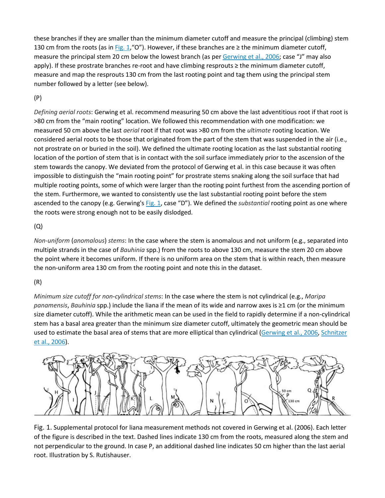these branches if they are smaller than the minimum diameter cutoff and measure the principal (climbing) stem 130 cm from the roots (as in [Fig. 1](https://www.sciencedirect.com/science/article/pii/S0378112707007931#fig1),"O"). However, if these branches are  $\geq$  the minimum diameter cutoff, measure the principal stem 20 cm below the lowest branch (as per [Gerwing et al., 2006;](https://www.sciencedirect.com/science/article/pii/S0378112707007931#bib3) case "J" may also apply). If these prostrate branches re-root and have climbing resprouts ≥ the minimum diameter cutoff, measure and map the resprouts 130 cm from the last rooting point and tag them using the principal stem number followed by a letter (see below).

#### (P)

*Defining aerial roots*: Gerwing et al. recommend measuring 50 cm above the last adventitious root if that root is >80 cm from the "main rooting" location. We followed this recommendation with one modification: we measured 50 cm above the last *aerial* root if that root was >80 cm from the *ultimate* rooting location. We considered aerial roots to be those that originated from the part of the stem that was suspended in the air (i.e., not prostrate on or buried in the soil). We defined the ultimate rooting location as the last substantial rooting location of the portion of stem that is in contact with the soil surface immediately prior to the ascension of the stem towards the canopy. We deviated from the protocol of Gerwing et al. in this case because it was often impossible to distinguish the "main rooting point" for prostrate stems snaking along the soil surface that had multiple rooting points, some of which were larger than the rooting point furthest from the ascending portion of the stem. Furthermore, we wanted to consistently use the last substantial rooting point before the stem ascended to the canopy (e.g. Gerwing's [Fig. 1,](https://www.sciencedirect.com/science/article/pii/S0378112707007931#fig1) case "D"). We defined the *substantial* rooting point as one where the roots were strong enough not to be easily dislodged.

#### (Q)

*Non-uniform* (*anomalous*) *stems*: In the case where the stem is anomalous and not uniform (e.g., separated into multiple strands in the case of *Bauhinia* spp.) from the roots to above 130 cm, measure the stem 20 cm above the point where it becomes uniform. If there is no uniform area on the stem that is within reach, then measure the non-uniform area 130 cm from the rooting point and note this in the dataset.

#### (R)

*Minimum size cutoff for non*-*cylindrical stems*: In the case where the stem is not cylindrical (e.g., *Maripa panamensis*, *Bauhinia* spp.) include the liana if the mean of its wide and narrow axes is ≥1 cm (or the minimum size diameter cutoff). While the arithmetic mean can be used in the field to rapidly determine if a non-cylindrical stem has a basal area greater than the minimum size diameter cutoff, ultimately the geometric mean should be used to estimate the basal area of stems that are more elliptical than cylindrical [\(Gerwing et al., 2006,](https://www.sciencedirect.com/science/article/pii/S0378112707007931#bib3) [Schnitzer](https://www.sciencedirect.com/science/article/pii/S0378112707007931#bib9)  [et al., 2006\)](https://www.sciencedirect.com/science/article/pii/S0378112707007931#bib9).



Fig. 1. Supplemental protocol for liana measurement methods not covered in [Gerwing et al. \(2006\).](https://www.sciencedirect.com/science/article/pii/S0378112707007931#bib3) Each letter of the figure is described in the text. Dashed lines indicate 130 cm from the roots, measured along the stem and not perpendicular to the ground. In case P, an additional dashed line indicates 50 cm higher than the last aerial root. Illustration by S. Rutishauser.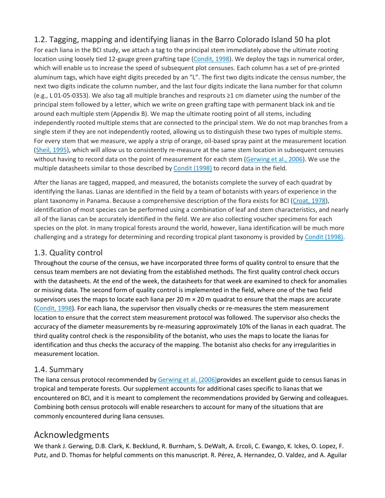# 1.2. Tagging, mapping and identifying lianas in the Barro Colorado Island 50 ha plot

For each liana in the BCI study, we attach a tag to the principal stem immediately above the ultimate rooting location using loosely tied 12-gauge green grafting tape [\(Condit, 1998\)](https://www.sciencedirect.com/science/article/pii/S0378112707007931#bib1). We deploy the tags in numerical order, which will enable us to increase the speed of subsequent plot censuses. Each column has a set of pre-printed aluminum tags, which have eight digits preceded by an "L". The first two digits indicate the census number, the next two digits indicate the column number, and the last four digits indicate the liana number for that column (e.g., L 01-05-0353). We also tag all multiple branches and resprouts ≥1 cm diameter using the number of the principal stem followed by a letter, which we write on green grafting tape with permanent black ink and tie around each multiple stem (Appendix B). We map the ultimate rooting point of all stems, including independently rooted multiple stems that are connected to the principal stem. We do not map branches from a single stem if they are not independently rooted, allowing us to distinguish these two types of multiple stems. For every stem that we measure, we apply a strip of orange, oil-based spray paint at the measurement location [\(Sheil, 1995\)](https://www.sciencedirect.com/science/article/pii/S0378112707007931#bib10), which will allow us to consistently re-measure at the same stem location in subsequent censuses without having to record data on the point of measurement for each stem [\(Gerwing et al., 2006\)](https://www.sciencedirect.com/science/article/pii/S0378112707007931#bib3). We use the multiple datasheets similar to those described by [Condit \(1998\)](https://www.sciencedirect.com/science/article/pii/S0378112707007931#bib1) to record data in the field.

After the lianas are tagged, mapped, and measured, the botanists complete the survey of each quadrat by identifying the lianas. Lianas are identified in the field by a team of botanists with years of experience in the plant taxonomy in Panama. Because a comprehensive description of the flora exists for BCI [\(Croat, 1978\)](https://www.sciencedirect.com/science/article/pii/S0378112707007931#bib2), identification of most species can be performed using a combination of leaf and stem characteristics, and nearly all of the lianas can be accurately identified in the field. We are also collecting voucher specimens for each species on the plot. In many tropical forests around the world, however, liana identification will be much more challenging and a strategy for determining and recording tropical plant taxonomy is provided by [Condit \(1998\).](https://www.sciencedirect.com/science/article/pii/S0378112707007931#bib1)

### 1.3. Quality control

Throughout the course of the census, we have incorporated three forms of quality control to ensure that the census team members are not deviating from the established methods. The first quality control check occurs with the datasheets. At the end of the week, the datasheets for that week are examined to check for anomalies or missing data. The second form of quality control is implemented in the field, where one of the two field supervisors uses the maps to locate each liana per 20  $m \times 20$  m quadrat to ensure that the maps are accurate [\(Condit, 1998\)](https://www.sciencedirect.com/science/article/pii/S0378112707007931#bib1). For each liana, the supervisor then visually checks or re-measures the stem measurement location to ensure that the correct stem measurement protocol was followed. The supervisor also checks the accuracy of the diameter measurements by re-measuring approximately 10% of the lianas in each quadrat. The third quality control check is the responsibility of the botanist, who uses the maps to locate the lianas for identification and thus checks the accuracy of the mapping. The botanist also checks for any irregularities in measurement location.

#### 1.4. Summary

The liana census protocol recommended by [Gerwing et al. \(2006\)p](https://www.sciencedirect.com/science/article/pii/S0378112707007931#bib3)rovides an excellent guide to census lianas in tropical and temperate forests. Our supplement accounts for additional cases specific to lianas that we encountered on BCI, and it is meant to complement the recommendations provided by Gerwing and colleagues. Combining both census protocols will enable researchers to account for many of the situations that are commonly encountered during liana censuses.

# Acknowledgments

We thank J. Gerwing, D.B. Clark, K. Becklund, R. Burnham, S. DeWalt, A. Ercoli, C. Ewango, K. Ickes, O. Lopez, F. Putz, and D. Thomas for helpful comments on this manuscript. R. Pérez, A. Hernandez, O. Valdez, and A. Aguilar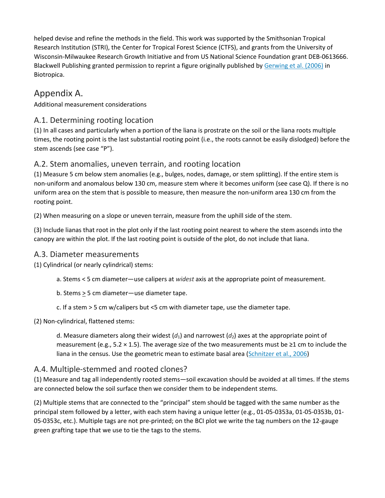helped devise and refine the methods in the field. This work was supported by the Smithsonian Tropical Research Institution (STRI), the Center for Tropical Forest Science (CTFS), and grants from the University of Wisconsin-Milwaukee Research Growth Initiative and from US National Science Foundation grant DEB-0613666. Blackwell Publishing granted permission to reprint a figure originally published by [Gerwing et al. \(2006\)](https://www.sciencedirect.com/science/article/pii/S0378112707007931#bib3) in Biotropica.

# Appendix A.

Additional measurement considerations

## A.1. Determining rooting location

(1) In all cases and particularly when a portion of the liana is prostrate on the soil or the liana roots multiple times, the rooting point is the last substantial rooting point (i.e., the roots cannot be easily dislodged) before the stem ascends (see case "P").

## A.2. Stem anomalies, uneven terrain, and rooting location

(1) Measure 5 cm below stem anomalies (e.g., bulges, nodes, damage, or stem splitting). If the entire stem is non-uniform and anomalous below 130 cm, measure stem where it becomes uniform (see case Q). If there is no uniform area on the stem that is possible to measure, then measure the non-uniform area 130 cm from the rooting point.

(2) When measuring on a slope or uneven terrain, measure from the uphill side of the stem.

(3) Include lianas that root in the plot only if the last rooting point nearest to where the stem ascends into the canopy are within the plot. If the last rooting point is outside of the plot, do not include that liana.

#### A.3. Diameter measurements

(1) Cylindrical (or nearly cylindrical) stems:

a. Stems < 5 cm diameter—use calipers at *widest* axis at the appropriate point of measurement.

b. Stems > 5 cm diameter—use diameter tape.

c. If a stem > 5 cm w/calipers but <5 cm with diameter tape, use the diameter tape.

(2) Non-cylindrical, flattened stems:

d. Measure diameters along their widest  $(d_1)$  and narrowest  $(d_2)$  axes at the appropriate point of measurement (e.g., 5.2  $\times$  1.5). The average size of the two measurements must be ≥1 cm to include the liana in the census. Use the geometric mean to estimate basal area [\(Schnitzer et al., 2006\)](https://www.sciencedirect.com/science/article/pii/S0378112707007931#bib9)

## A.4. Multiple-stemmed and rooted clones?

(1) Measure and tag all independently rooted stems—soil excavation should be avoided at all times. If the stems are connected below the soil surface then we consider them to be independent stems.

(2) Multiple stems that are connected to the "principal" stem should be tagged with the same number as the principal stem followed by a letter, with each stem having a unique letter (e.g., 01-05-0353a, 01-05-0353b, 01- 05-0353c, etc.). Multiple tags are not pre-printed; on the BCI plot we write the tag numbers on the 12-gauge green grafting tape that we use to tie the tags to the stems.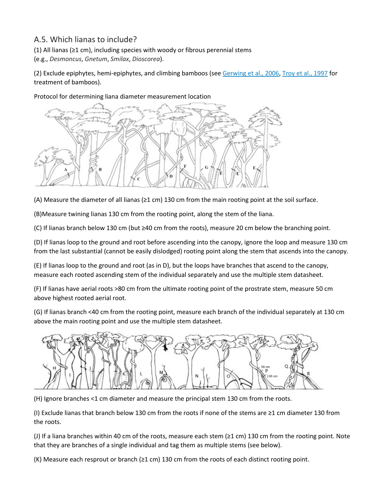# A.5. Which lianas to include?

(1) All lianas (≥1 cm), including species with woody or fibrous perennial stems

(e.g., *Desmoncus*, *Gnetum*, *Smilax*, *Dioscorea*).

(2) Exclude epiphytes, hemi-epiphytes, and climbing bamboos (see [Gerwing et al., 2006,](https://www.sciencedirect.com/science/article/pii/S0378112707007931#bib3) [Troy et al., 1997](https://www.sciencedirect.com/science/article/pii/S0378112707007931#bib11) for treatment of bamboos).

Protocol for determining liana diameter measurement location



(A) Measure the diameter of all lianas (≥1 cm) 130 cm from the main rooting point at the soil surface.

(B)Measure twining lianas 130 cm from the rooting point, along the stem of the liana.

(C) If lianas branch below 130 cm (but ≥40 cm from the roots), measure 20 cm below the branching point.

(D) If lianas loop to the ground and root before ascending into the canopy, ignore the loop and measure 130 cm from the last substantial (cannot be easily dislodged) rooting point along the stem that ascends into the canopy.

(E) If lianas loop to the ground and root (as in D), but the loops have branches that ascend to the canopy, measure each rooted ascending stem of the individual separately and use the multiple stem datasheet.

(F) If lianas have aerial roots >80 cm from the ultimate rooting point of the prostrate stem, measure 50 cm above highest rooted aerial root.

(G) If lianas branch <40 cm from the rooting point, measure each branch of the individual separately at 130 cm above the main rooting point and use the multiple stem datasheet.



(H) Ignore branches <1 cm diameter and measure the principal stem 130 cm from the roots.

(I) Exclude lianas that branch below 130 cm from the roots if none of the stems are ≥1 cm diameter 130 from the roots.

(J) If a liana branches within 40 cm of the roots, measure each stem (≥1 cm) 130 cm from the rooting point. Note that they are branches of a single individual and tag them as multiple stems (see below).

(K) Measure each resprout or branch (≥1 cm) 130 cm from the roots of each distinct rooting point.